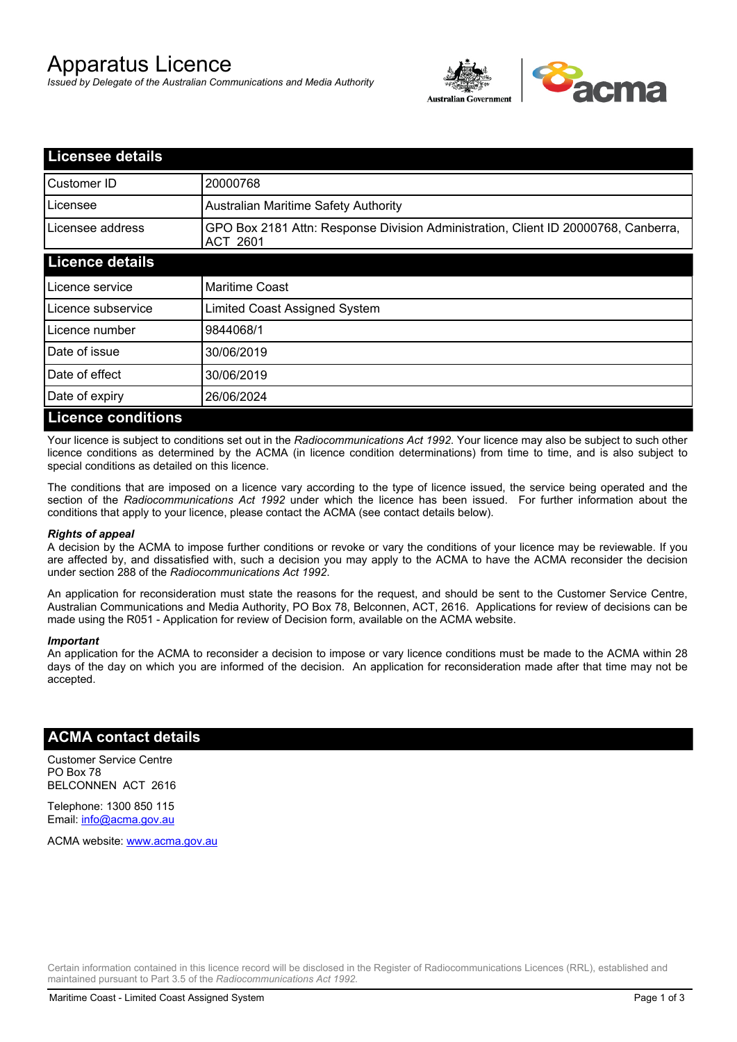# Apparatus Licence

*Issued by Delegate of the Australian Communications and Media Authority*



| <b>Licensee details</b>   |                                                                                                       |
|---------------------------|-------------------------------------------------------------------------------------------------------|
| Customer ID               | 20000768                                                                                              |
| Licensee                  | <b>Australian Maritime Safety Authority</b>                                                           |
| Licensee address          | GPO Box 2181 Attn: Response Division Administration, Client ID 20000768, Canberra,<br><b>ACT 2601</b> |
| <b>Licence details</b>    |                                                                                                       |
| Licence service           | <b>Maritime Coast</b>                                                                                 |
| Licence subservice        | Limited Coast Assigned System                                                                         |
| Licence number            | 9844068/1                                                                                             |
| Date of issue             | 30/06/2019                                                                                            |
| Date of effect            | 30/06/2019                                                                                            |
| Date of expiry            | 26/06/2024                                                                                            |
| <b>Licence conditions</b> |                                                                                                       |

Your licence is subject to conditions set out in the *Radiocommunications Act 1992*. Your licence may also be subject to such other licence conditions as determined by the ACMA (in licence condition determinations) from time to time, and is also subject to special conditions as detailed on this licence.

The conditions that are imposed on a licence vary according to the type of licence issued, the service being operated and the section of the *Radiocommunications Act 1992* under which the licence has been issued. For further information about the conditions that apply to your licence, please contact the ACMA (see contact details below).

#### *Rights of appeal*

A decision by the ACMA to impose further conditions or revoke or vary the conditions of your licence may be reviewable. If you are affected by, and dissatisfied with, such a decision you may apply to the ACMA to have the ACMA reconsider the decision under section 288 of the *Radiocommunications Act 1992*.

An application for reconsideration must state the reasons for the request, and should be sent to the Customer Service Centre, Australian Communications and Media Authority, PO Box 78, Belconnen, ACT, 2616. Applications for review of decisions can be made using the R051 - Application for review of Decision form, available on the ACMA website.

#### *Important*

An application for the ACMA to reconsider a decision to impose or vary licence conditions must be made to the ACMA within 28 days of the day on which you are informed of the decision. An application for reconsideration made after that time may not be accepted.

### **ACMA contact details**

Customer Service Centre PO Box 78 BELCONNEN ACT 2616

Telephone: 1300 850 115 Email: info@acma.gov.au

ACMA website: www.acma.gov.au

Certain information contained in this licence record will be disclosed in the Register of Radiocommunications Licences (RRL), established and maintained pursuant to Part 3.5 of the *Radiocommunications Act 1992.*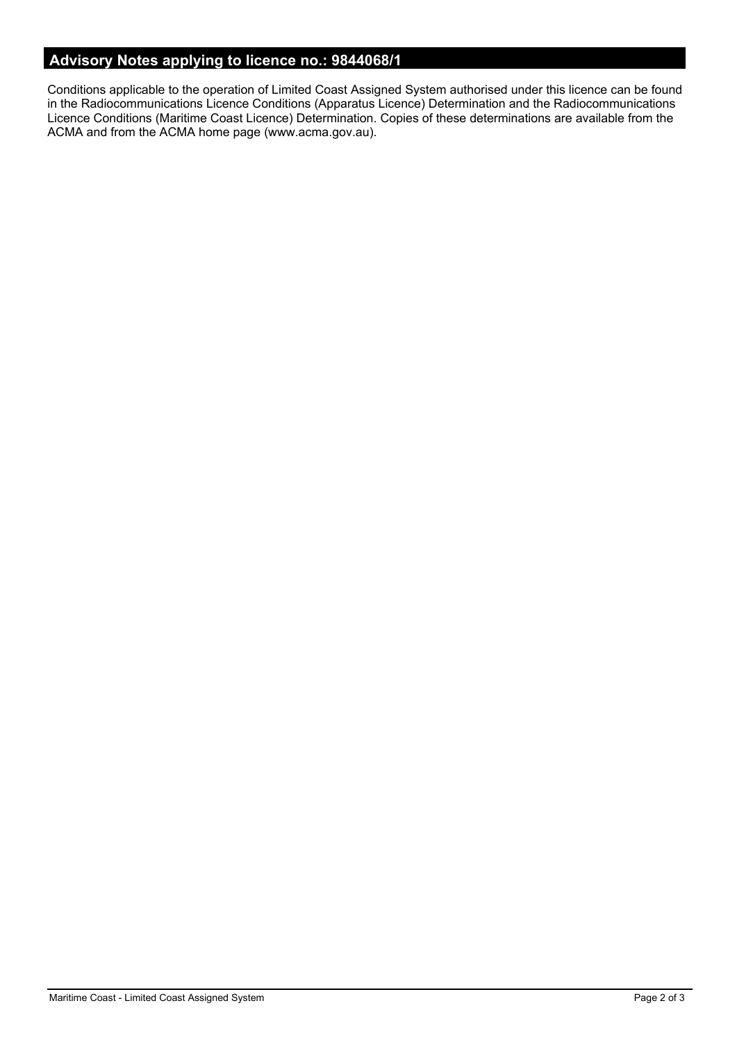# **Advisory Notes applying to licence no.: 9844068/1**

Conditions applicable to the operation of Limited Coast Assigned System authorised under this licence can be found in the Radiocommunications Licence Conditions (Apparatus Licence) Determination and the Radiocommunications Licence Conditions (Maritime Coast Licence) Determination. Copies of these determinations are available from the ACMA and from the ACMA home page (www.acma.gov.au).